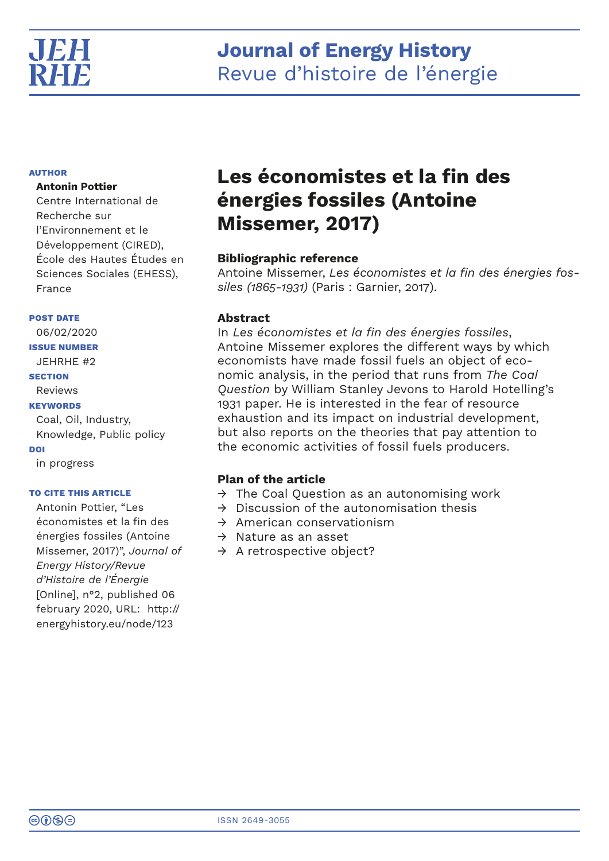

# **Journal of Energy History** Revue d'histoire de l'énergie

## **AUTHOR**

## **Antonin Pottier**

Centre International de Recherche sur l'Environnement et le Développement (CIRED), École des Hautes Études en Sciences Sociales (EHESS), France

## **POST DATE**

06/02/2020 **ISSUE NUMBER** JEHRHE #2 **SECTION** Reviews **KEYWORDS** Coal, Oil, Industry, Knowledge, Public policy **DOI** in progress

## **TO CITE THIS ARTICLE**

Antonin Pottier, "Les économistes et la fin des énergies fossiles (Antoine Missemer, 2017)", *Journal of Energy History/Revue d'Histoire de l'Énergie*  [Online], n°2, published 06 february 2020, URL: http:// energyhistory.eu/node/123

# **Les économistes et la fin des énergies fossiles (Antoine Missemer, 2017)**

# **Bibliographic reference**

Antoine Missemer, *Les économistes et la fin des énergies fossiles (1865-1931)* (Paris : Garnier, 2017).

# **Abstract**

In *Les économistes et la fin des énergies fossiles*, Antoine Missemer explores the different ways by which economists have made fossil fuels an object of economic analysis, in the period that runs from *The Coal Question* by William Stanley Jevons to Harold Hotelling's 1931 paper. He is interested in the fear of resource exhaustion and its impact on industrial development, but also reports on the theories that pay attention to the economic activities of fossil fuels producers.

# **Plan of the article**

- $\rightarrow$  The Coal Question as an autonomising work
- $\rightarrow$  Discussion of the autonomisation thesis
- $\rightarrow$  American conservationism
- $\rightarrow$  Nature as an asset
- $\rightarrow$  A retrospective object?

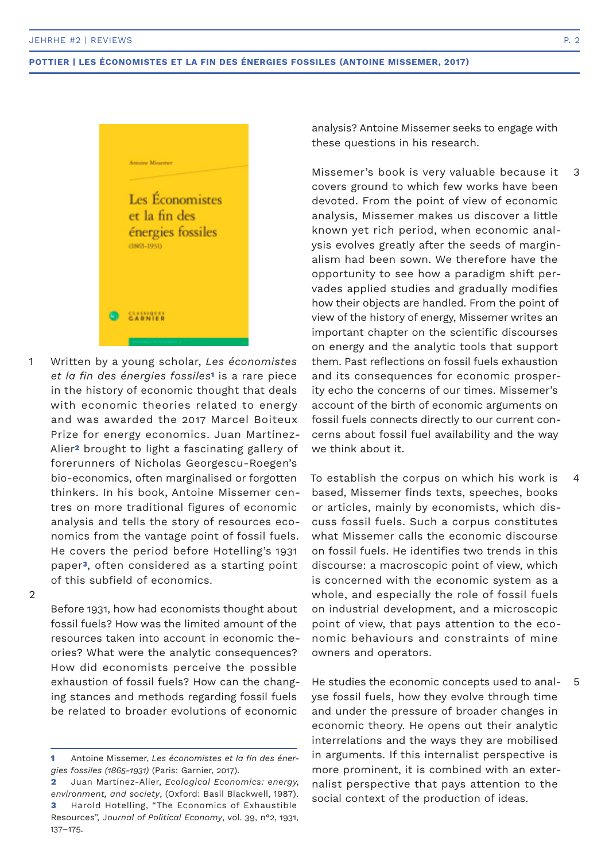

Written by a young scholar, *Les économistes et la fin des énergies fossiles***1** is a rare piece in the history of economic thought that deals with economic theories related to energy and was awarded the 2017 Marcel Boiteux Prize for energy economics. Juan Martínez-Alier**2** brought to light a fascinating gallery of forerunners of Nicholas Georgescu-Roegen's bio-economics, often marginalised or forgotten thinkers. In his book, Antoine Missemer centres on more traditional figures of economic analysis and tells the story of resources economics from the vantage point of fossil fuels. He covers the period before Hotelling's 1931 paper**3**, often considered as a starting point of this subfield of economics. 1

2

Before 1931, how had economists thought about fossil fuels? How was the limited amount of the resources taken into account in economic theories? What were the analytic consequences? How did economists perceive the possible exhaustion of fossil fuels? How can the changing stances and methods regarding fossil fuels be related to broader evolutions of economic

analysis? Antoine Missemer seeks to engage with these questions in his research.

Missemer's book is very valuable because it covers ground to which few works have been devoted. From the point of view of economic analysis, Missemer makes us discover a little known yet rich period, when economic analysis evolves greatly after the seeds of marginalism had been sown. We therefore have the opportunity to see how a paradigm shift pervades applied studies and gradually modifies how their objects are handled. From the point of view of the history of energy, Missemer writes an important chapter on the scientific discourses on energy and the analytic tools that support them. Past reflections on fossil fuels exhaustion and its consequences for economic prosperity echo the concerns of our times. Missemer's account of the birth of economic arguments on fossil fuels connects directly to our current concerns about fossil fuel availability and the way we think about it. 3

To establish the corpus on which his work is based, Missemer finds texts, speeches, books or articles, mainly by economists, which discuss fossil fuels. Such a corpus constitutes what Missemer calls the economic discourse on fossil fuels. He identifies two trends in this discourse: a macroscopic point of view, which is concerned with the economic system as a whole, and especially the role of fossil fuels on industrial development, and a microscopic point of view, that pays attention to the economic behaviours and constraints of mine owners and operators. 4

He studies the economic concepts used to analyse fossil fuels, how they evolve through time and under the pressure of broader changes in economic theory. He opens out their analytic interrelations and the ways they are mobilised in arguments. If this internalist perspective is more prominent, it is combined with an externalist perspective that pays attention to the social context of the production of ideas. 5

**<sup>1</sup>** Antoine Missemer, *Les économistes et la fin des énergies fossiles (1865-1931)* (Paris: Garnier, 2017).

**<sup>2</sup>** Juan Martínez-Alier, *Ecological Economics: energy, environment, and society*, (Oxford: Basil Blackwell, 1987). **3** Harold Hotelling, "The Economics of Exhaustible Resources", J*ournal of Political Economy*, vol. 39, n°2, 1931, 137–175.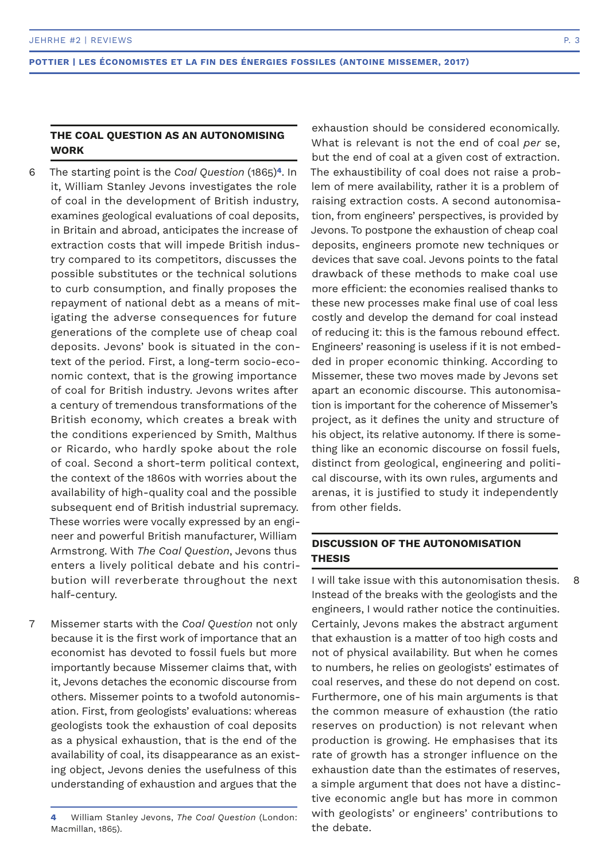# **THE COAL QUESTION AS AN AUTONOMISING WORK**

- The starting point is the *Coal Question* (1865)**4**. In it, William Stanley Jevons investigates the role of coal in the development of British industry, examines geological evaluations of coal deposits, in Britain and abroad, anticipates the increase of extraction costs that will impede British industry compared to its competitors, discusses the possible substitutes or the technical solutions to curb consumption, and finally proposes the repayment of national debt as a means of mitigating the adverse consequences for future generations of the complete use of cheap coal deposits. Jevons' book is situated in the context of the period. First, a long-term socio-economic context, that is the growing importance of coal for British industry. Jevons writes after a century of tremendous transformations of the British economy, which creates a break with the conditions experienced by Smith, Malthus or Ricardo, who hardly spoke about the role of coal. Second a short-term political context, the context of the 1860s with worries about the availability of high-quality coal and the possible subsequent end of British industrial supremacy. These worries were vocally expressed by an engineer and powerful British manufacturer, William Armstrong. With *The Coal Question*, Jevons thus enters a lively political debate and his contribution will reverberate throughout the next half-century. 6
- Missemer starts with the *Coal Question* not only because it is the first work of importance that an economist has devoted to fossil fuels but more importantly because Missemer claims that, with it, Jevons detaches the economic discourse from others. Missemer points to a twofold autonomisation. First, from geologists' evaluations: whereas geologists took the exhaustion of coal deposits as a physical exhaustion, that is the end of the availability of coal, its disappearance as an existing object, Jevons denies the usefulness of this understanding of exhaustion and argues that the 7

**4** William Stanley Jevons, *The Coal Question* (London: Macmillan, 1865).

exhaustion should be considered economically. What is relevant is not the end of coal *per* se, but the end of coal at a given cost of extraction. The exhaustibility of coal does not raise a problem of mere availability, rather it is a problem of raising extraction costs. A second autonomisation, from engineers' perspectives, is provided by Jevons. To postpone the exhaustion of cheap coal deposits, engineers promote new techniques or devices that save coal. Jevons points to the fatal drawback of these methods to make coal use more efficient: the economies realised thanks to these new processes make final use of coal less costly and develop the demand for coal instead of reducing it: this is the famous rebound effect. Engineers' reasoning is useless if it is not embedded in proper economic thinking. According to Missemer, these two moves made by Jevons set apart an economic discourse. This autonomisation is important for the coherence of Missemer's project, as it defines the unity and structure of his object, its relative autonomy. If there is something like an economic discourse on fossil fuels, distinct from geological, engineering and political discourse, with its own rules, arguments and arenas, it is justified to study it independently from other fields.

# **DISCUSSION OF THE AUTONOMISATION THESIS**

I will take issue with this autonomisation thesis. Instead of the breaks with the geologists and the engineers, I would rather notice the continuities. Certainly, Jevons makes the abstract argument that exhaustion is a matter of too high costs and not of physical availability. But when he comes to numbers, he relies on geologists' estimates of coal reserves, and these do not depend on cost. Furthermore, one of his main arguments is that the common measure of exhaustion (the ratio reserves on production) is not relevant when production is growing. He emphasises that its rate of growth has a stronger influence on the exhaustion date than the estimates of reserves, a simple argument that does not have a distinctive economic angle but has more in common with geologists' or engineers' contributions to the debate.

8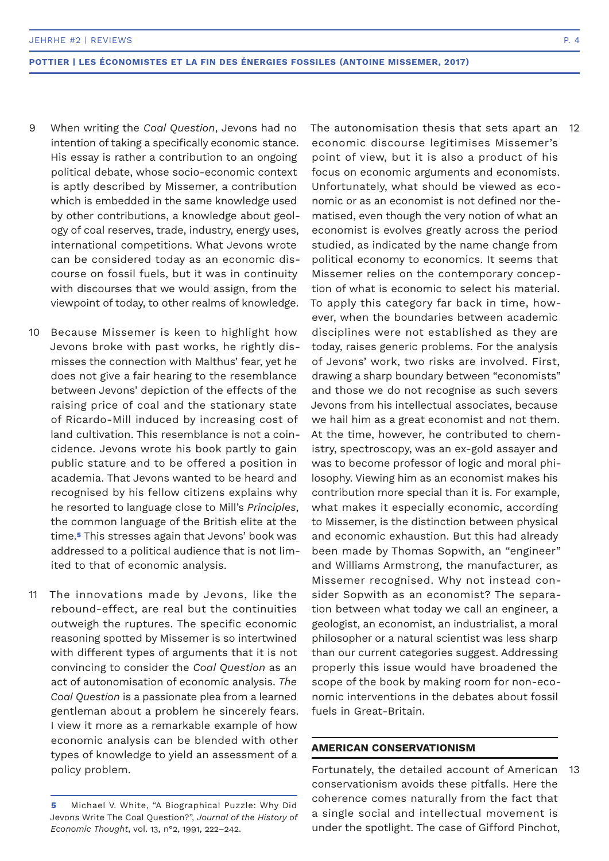- When writing the *Coal Question*, Jevons had no intention of taking a specifically economic stance. His essay is rather a contribution to an ongoing political debate, whose socio-economic context is aptly described by Missemer, a contribution which is embedded in the same knowledge used by other contributions, a knowledge about geology of coal reserves, trade, industry, energy uses, international competitions. What Jevons wrote can be considered today as an economic discourse on fossil fuels, but it was in continuity with discourses that we would assign, from the viewpoint of today, to other realms of knowledge. 9
- Because Missemer is keen to highlight how Jevons broke with past works, he rightly dismisses the connection with Malthus' fear, yet he does not give a fair hearing to the resemblance between Jevons' depiction of the effects of the raising price of coal and the stationary state of Ricardo-Mill induced by increasing cost of land cultivation. This resemblance is not a coincidence. Jevons wrote his book partly to gain public stature and to be offered a position in academia. That Jevons wanted to be heard and recognised by his fellow citizens explains why he resorted to language close to Mill's *Principles*, the common language of the British elite at the time.**5** This stresses again that Jevons' book was addressed to a political audience that is not limited to that of economic analysis. 10
- The innovations made by Jevons, like the rebound-effect, are real but the continuities outweigh the ruptures. The specific economic reasoning spotted by Missemer is so intertwined with different types of arguments that it is not convincing to consider the *Coal Question* as an act of autonomisation of economic analysis. *The Coal Question* is a passionate plea from a learned gentleman about a problem he sincerely fears. I view it more as a remarkable example of how economic analysis can be blended with other types of knowledge to yield an assessment of a policy problem. 11

The autonomisation thesis that sets apart an economic discourse legitimises Missemer's point of view, but it is also a product of his focus on economic arguments and economists. Unfortunately, what should be viewed as economic or as an economist is not defined nor thematised, even though the very notion of what an economist is evolves greatly across the period studied, as indicated by the name change from political economy to economics. It seems that Missemer relies on the contemporary conception of what is economic to select his material. To apply this category far back in time, however, when the boundaries between academic disciplines were not established as they are today, raises generic problems. For the analysis of Jevons' work, two risks are involved. First, drawing a sharp boundary between "economists" and those we do not recognise as such severs Jevons from his intellectual associates, because we hail him as a great economist and not them. At the time, however, he contributed to chemistry, spectroscopy, was an ex-gold assayer and was to become professor of logic and moral philosophy. Viewing him as an economist makes his contribution more special than it is. For example, what makes it especially economic, according to Missemer, is the distinction between physical and economic exhaustion. But this had already been made by Thomas Sopwith, an "engineer" and Williams Armstrong, the manufacturer, as Missemer recognised. Why not instead consider Sopwith as an economist? The separation between what today we call an engineer, a geologist, an economist, an industrialist, a moral philosopher or a natural scientist was less sharp than our current categories suggest. Addressing properly this issue would have broadened the scope of the book by making room for non-economic interventions in the debates about fossil fuels in Great-Britain. 12

## **AMERICAN CONSERVATIONISM**

Fortunately, the detailed account of American conservationism avoids these pitfalls. Here the coherence comes naturally from the fact that a single social and intellectual movement is under the spotlight. The case of Gifford Pinchot, 13

**<sup>5</sup>** Michael V. White, "A Biographical Puzzle: Why Did Jevons Write The Coal Question?", *Journal of the History of Economic Thought*, vol. 13, n°2, 1991, 222–242.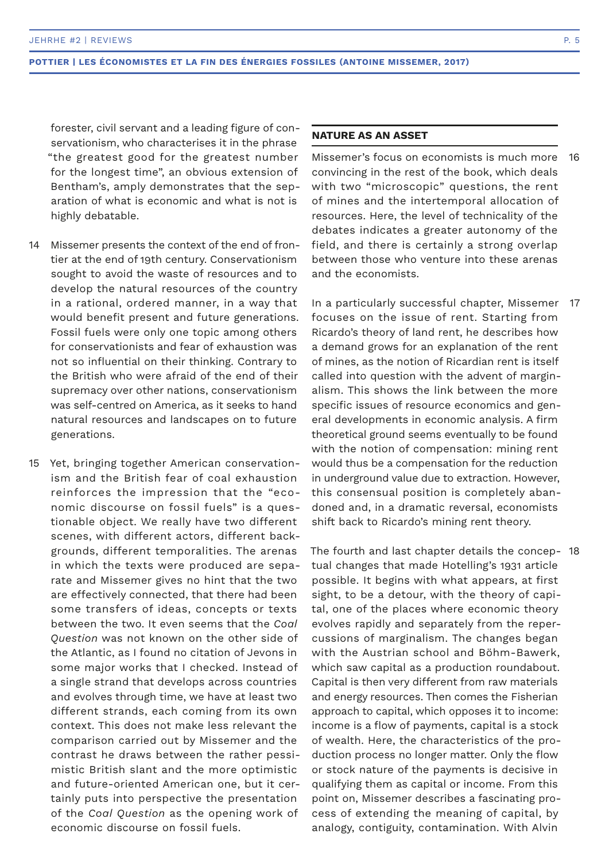forester, civil servant and a leading figure of conservationism, who characterises it in the phrase "the greatest good for the greatest number for the longest time", an obvious extension of Bentham's, amply demonstrates that the separation of what is economic and what is not is highly debatable.

- Missemer presents the context of the end of frontier at the end of 19th century. Conservationism sought to avoid the waste of resources and to develop the natural resources of the country in a rational, ordered manner, in a way that would benefit present and future generations. Fossil fuels were only one topic among others for conservationists and fear of exhaustion was not so influential on their thinking. Contrary to the British who were afraid of the end of their supremacy over other nations, conservationism was self-centred on America, as it seeks to hand natural resources and landscapes on to future generations.  $14$
- 15 Yet, bringing together American conservationism and the British fear of coal exhaustion reinforces the impression that the "economic discourse on fossil fuels" is a questionable object. We really have two different scenes, with different actors, different backgrounds, different temporalities. The arenas in which the texts were produced are separate and Missemer gives no hint that the two are effectively connected, that there had been some transfers of ideas, concepts or texts between the two. It even seems that the *Coal Question* was not known on the other side of the Atlantic, as I found no citation of Jevons in some major works that I checked. Instead of a single strand that develops across countries and evolves through time, we have at least two different strands, each coming from its own context. This does not make less relevant the comparison carried out by Missemer and the contrast he draws between the rather pessimistic British slant and the more optimistic and future-oriented American one, but it certainly puts into perspective the presentation of the *Coal Question* as the opening work of economic discourse on fossil fuels.

## **NATURE AS AN ASSET**

Missemer's focus on economists is much more convincing in the rest of the book, which deals with two "microscopic" questions, the rent of mines and the intertemporal allocation of resources. Here, the level of technicality of the debates indicates a greater autonomy of the field, and there is certainly a strong overlap between those who venture into these arenas and the economists. 16

In a particularly successful chapter, Missemer 17 focuses on the issue of rent. Starting from Ricardo's theory of land rent, he describes how a demand grows for an explanation of the rent of mines, as the notion of Ricardian rent is itself called into question with the advent of marginalism. This shows the link between the more specific issues of resource economics and general developments in economic analysis. A firm theoretical ground seems eventually to be found with the notion of compensation: mining rent would thus be a compensation for the reduction in underground value due to extraction. However, this consensual position is completely abandoned and, in a dramatic reversal, economists shift back to Ricardo's mining rent theory.

The fourth and last chapter details the concep-18tual changes that made Hotelling's 1931 article possible. It begins with what appears, at first sight, to be a detour, with the theory of capital, one of the places where economic theory evolves rapidly and separately from the repercussions of marginalism. The changes began with the Austrian school and Böhm-Bawerk, which saw capital as a production roundabout. Capital is then very different from raw materials and energy resources. Then comes the Fisherian approach to capital, which opposes it to income: income is a flow of payments, capital is a stock of wealth. Here, the characteristics of the production process no longer matter. Only the flow or stock nature of the payments is decisive in qualifying them as capital or income. From this point on, Missemer describes a fascinating process of extending the meaning of capital, by analogy, contiguity, contamination. With Alvin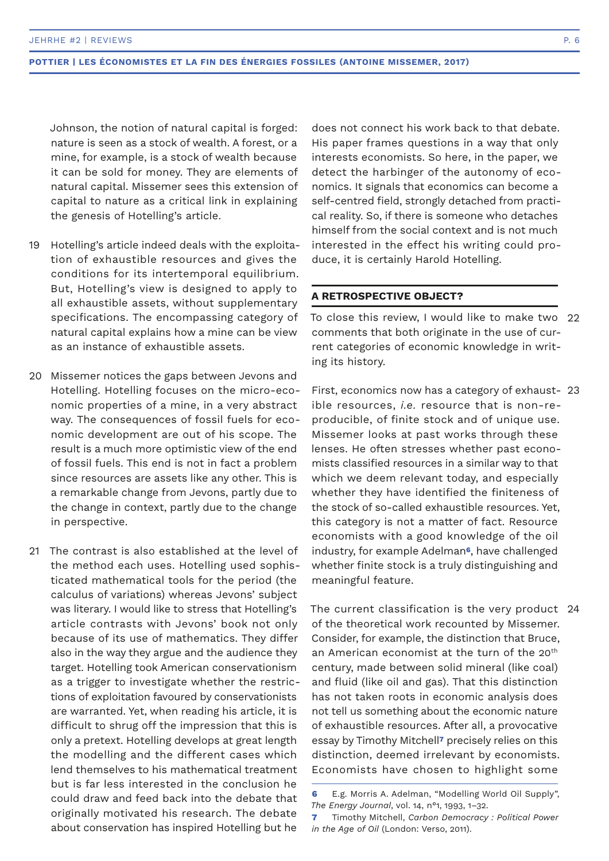Johnson, the notion of natural capital is forged: nature is seen as a stock of wealth. A forest, or a mine, for example, is a stock of wealth because it can be sold for money. They are elements of natural capital. Missemer sees this extension of capital to nature as a critical link in explaining the genesis of Hotelling's article.

- 19 Hotelling's article indeed deals with the exploitation of exhaustible resources and gives the conditions for its intertemporal equilibrium. But, Hotelling's view is designed to apply to all exhaustible assets, without supplementary specifications. The encompassing category of natural capital explains how a mine can be view as an instance of exhaustible assets.
- 20 Missemer notices the gaps between Jevons and Hotelling. Hotelling focuses on the micro-economic properties of a mine, in a very abstract way. The consequences of fossil fuels for economic development are out of his scope. The result is a much more optimistic view of the end of fossil fuels. This end is not in fact a problem since resources are assets like any other. This is a remarkable change from Jevons, partly due to the change in context, partly due to the change in perspective.
- 21 The contrast is also established at the level of the method each uses. Hotelling used sophisticated mathematical tools for the period (the calculus of variations) whereas Jevons' subject was literary. I would like to stress that Hotelling's article contrasts with Jevons' book not only because of its use of mathematics. They differ also in the way they argue and the audience they target. Hotelling took American conservationism as a trigger to investigate whether the restrictions of exploitation favoured by conservationists are warranted. Yet, when reading his article, it is difficult to shrug off the impression that this is only a pretext. Hotelling develops at great length the modelling and the different cases which lend themselves to his mathematical treatment but is far less interested in the conclusion he could draw and feed back into the debate that originally motivated his research. The debate about conservation has inspired Hotelling but he

does not connect his work back to that debate. His paper frames questions in a way that only interests economists. So here, in the paper, we detect the harbinger of the autonomy of economics. It signals that economics can become a self-centred field, strongly detached from practical reality. So, if there is someone who detaches himself from the social context and is not much interested in the effect his writing could produce, it is certainly Harold Hotelling.

## **A RETROSPECTIVE OBJECT?**

To close this review, I would like to make two 22 comments that both originate in the use of current categories of economic knowledge in writing its history.

First, economics now has a category of exhaust-23 ible resources, *i.e.* resource that is non-reproducible, of finite stock and of unique use. Missemer looks at past works through these lenses. He often stresses whether past economists classified resources in a similar way to that which we deem relevant today, and especially whether they have identified the finiteness of the stock of so-called exhaustible resources. Yet, this category is not a matter of fact. Resource economists with a good knowledge of the oil industry, for example Adelman**6**, have challenged whether finite stock is a truly distinguishing and meaningful feature.

The current classification is the very product 24of the theoretical work recounted by Missemer. Consider, for example, the distinction that Bruce, an American economist at the turn of the 20<sup>th</sup> century, made between solid mineral (like coal) and fluid (like oil and gas). That this distinction has not taken roots in economic analysis does not tell us something about the economic nature of exhaustible resources. After all, a provocative essay by Timothy Mitchell**7** precisely relies on this distinction, deemed irrelevant by economists. Economists have chosen to highlight some

**<sup>6</sup>** E.g. Morris A. Adelman, "Modelling World Oil Supply", *The Energy Journal*, vol. 14, n°1, 1993, 1–32.

**<sup>7</sup>** Timothy Mitchell, *Carbon Democracy : Political Power in the Age of Oil* (London: Verso, 2011).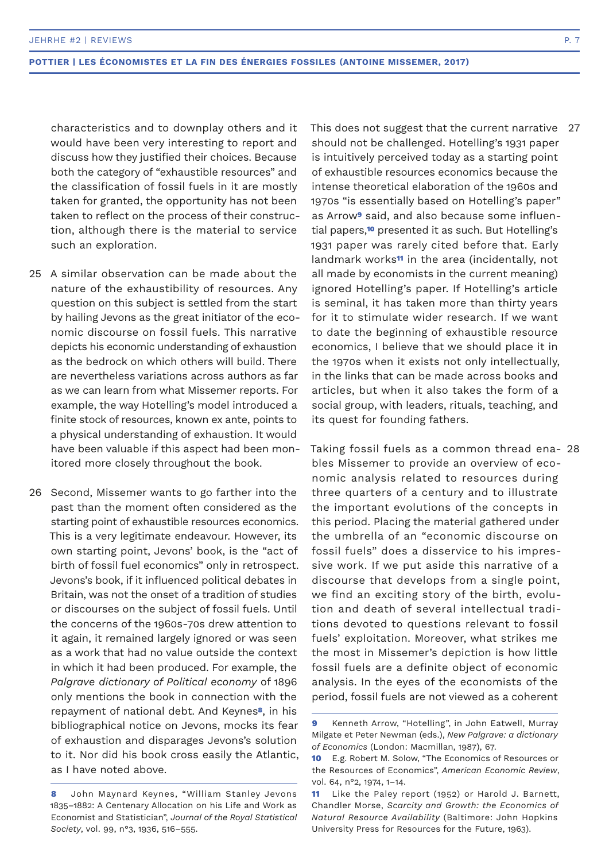characteristics and to downplay others and it would have been very interesting to report and discuss how they justified their choices. Because both the category of "exhaustible resources" and the classification of fossil fuels in it are mostly taken for granted, the opportunity has not been taken to reflect on the process of their construction, although there is the material to service such an exploration.

- 25 A similar observation can be made about the nature of the exhaustibility of resources. Any question on this subject is settled from the start by hailing Jevons as the great initiator of the economic discourse on fossil fuels. This narrative depicts his economic understanding of exhaustion as the bedrock on which others will build. There are nevertheless variations across authors as far as we can learn from what Missemer reports. For example, the way Hotelling's model introduced a finite stock of resources, known ex ante, points to a physical understanding of exhaustion. It would have been valuable if this aspect had been monitored more closely throughout the book.
- 26 Second, Missemer wants to go farther into the past than the moment often considered as the starting point of exhaustible resources economics. This is a very legitimate endeavour. However, its own starting point, Jevons' book, is the "act of birth of fossil fuel economics" only in retrospect. Jevons's book, if it influenced political debates in Britain, was not the onset of a tradition of studies or discourses on the subject of fossil fuels. Until the concerns of the 1960s-70s drew attention to it again, it remained largely ignored or was seen as a work that had no value outside the context in which it had been produced. For example, the *Palgrave dictionary of Political economy* of 1896 only mentions the book in connection with the repayment of national debt. And Keynes**8**, in his bibliographical notice on Jevons, mocks its fear of exhaustion and disparages Jevons's solution to it. Nor did his book cross easily the Atlantic, as I have noted above.

This does not suggest that the current narrative should not be challenged. Hotelling's 1931 paper is intuitively perceived today as a starting point of exhaustible resources economics because the intense theoretical elaboration of the 1960s and 1970s "is essentially based on Hotelling's paper" as Arrow**9** said, and also because some influential papers,**10** presented it as such. But Hotelling's 1931 paper was rarely cited before that. Early landmark works**11** in the area (incidentally, not all made by economists in the current meaning) ignored Hotelling's paper. If Hotelling's article is seminal, it has taken more than thirty years for it to stimulate wider research. If we want to date the beginning of exhaustible resource economics, I believe that we should place it in the 1970s when it exists not only intellectually, in the links that can be made across books and articles, but when it also takes the form of a social group, with leaders, rituals, teaching, and its quest for founding fathers. 27

Taking fossil fuels as a common thread ena-28bles Missemer to provide an overview of economic analysis related to resources during three quarters of a century and to illustrate the important evolutions of the concepts in this period. Placing the material gathered under the umbrella of an "economic discourse on fossil fuels" does a disservice to his impressive work. If we put aside this narrative of a discourse that develops from a single point, we find an exciting story of the birth, evolution and death of several intellectual traditions devoted to questions relevant to fossil fuels' exploitation. Moreover, what strikes me the most in Missemer's depiction is how little fossil fuels are a definite object of economic analysis. In the eyes of the economists of the period, fossil fuels are not viewed as a coherent

**<sup>8</sup>** John Maynard Keynes, "William Stanley Jevons 1835–1882: A Centenary Allocation on his Life and Work as Economist and Statistician", *Journal of the Royal Statistical Society*, vol. 99, n°3, 1936, 516–555.

**<sup>9</sup>** Kenneth Arrow, "Hotelling", in John Eatwell, Murray Milgate et Peter Newman (eds.), *New Palgrave: a dictionary of Economics* (London: Macmillan, 1987), 67.

**<sup>10</sup>** E.g. Robert M. Solow, "The Economics of Resources or the Resources of Economics", *American Economic Review*, vol. 64, n°2, 1974, 1–14.

**<sup>11</sup>** Like the Paley report (1952) or Harold J. Barnett, Chandler Morse, *Scarcity and Growth: the Economics of Natural Resource Availability* (Baltimore: John Hopkins University Press for Resources for the Future, 1963).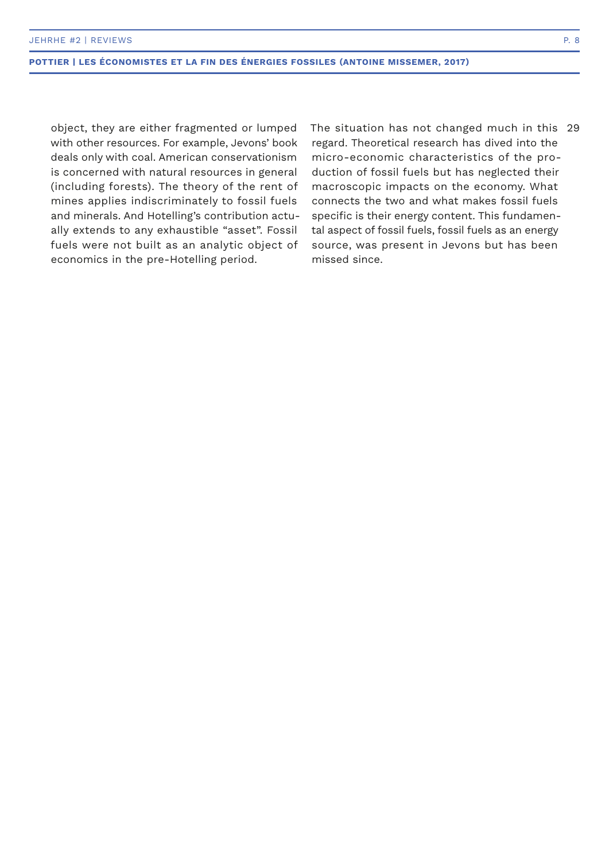object, they are either fragmented or lumped with other resources. For example, Jevons' book deals only with coal. American conservationism is concerned with natural resources in general (including forests). The theory of the rent of mines applies indiscriminately to fossil fuels and minerals. And Hotelling's contribution actually extends to any exhaustible "asset". Fossil fuels were not built as an analytic object of economics in the pre-Hotelling period.

The situation has not changed much in this 29regard. Theoretical research has dived into the micro-economic characteristics of the production of fossil fuels but has neglected their macroscopic impacts on the economy. What connects the two and what makes fossil fuels specific is their energy content. This fundamental aspect of fossil fuels, fossil fuels as an energy source, was present in Jevons but has been missed since.